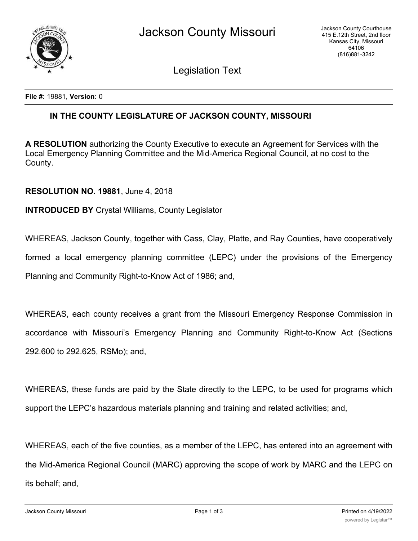

Legislation Text

**File #:** 19881, **Version:** 0

## **IN THE COUNTY LEGISLATURE OF JACKSON COUNTY, MISSOURI**

**A RESOLUTION** authorizing the County Executive to execute an Agreement for Services with the Local Emergency Planning Committee and the Mid-America Regional Council, at no cost to the County.

## **RESOLUTION NO. 19881**, June 4, 2018

## **INTRODUCED BY** Crystal Williams, County Legislator

WHEREAS, Jackson County, together with Cass, Clay, Platte, and Ray Counties, have cooperatively

formed a local emergency planning committee (LEPC) under the provisions of the Emergency

Planning and Community Right-to-Know Act of 1986; and,

WHEREAS, each county receives a grant from the Missouri Emergency Response Commission in accordance with Missouri's Emergency Planning and Community Right-to-Know Act (Sections 292.600 to 292.625, RSMo); and,

WHEREAS, these funds are paid by the State directly to the LEPC, to be used for programs which support the LEPC's hazardous materials planning and training and related activities; and,

WHEREAS, each of the five counties, as a member of the LEPC, has entered into an agreement with the Mid-America Regional Council (MARC) approving the scope of work by MARC and the LEPC on its behalf; and,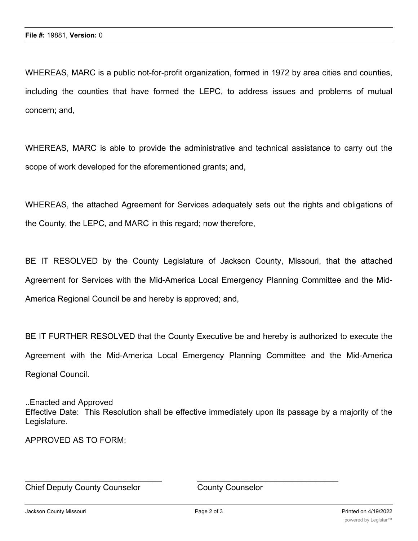WHEREAS, MARC is a public not-for-profit organization, formed in 1972 by area cities and counties, including the counties that have formed the LEPC, to address issues and problems of mutual concern; and,

WHEREAS, MARC is able to provide the administrative and technical assistance to carry out the scope of work developed for the aforementioned grants; and,

WHEREAS, the attached Agreement for Services adequately sets out the rights and obligations of the County, the LEPC, and MARC in this regard; now therefore,

BE IT RESOLVED by the County Legislature of Jackson County, Missouri, that the attached Agreement for Services with the Mid-America Local Emergency Planning Committee and the Mid-America Regional Council be and hereby is approved; and,

BE IT FURTHER RESOLVED that the County Executive be and hereby is authorized to execute the Agreement with the Mid-America Local Emergency Planning Committee and the Mid-America Regional Council.

..Enacted and Approved Effective Date: This Resolution shall be effective immediately upon its passage by a majority of the Legislature.

APPROVED AS TO FORM:

Chief Deputy County Counselor County Counselor

 $\_$  , and the contribution of the contribution of  $\overline{a}$  , and  $\overline{a}$  , and  $\overline{a}$  , and  $\overline{a}$  , and  $\overline{a}$